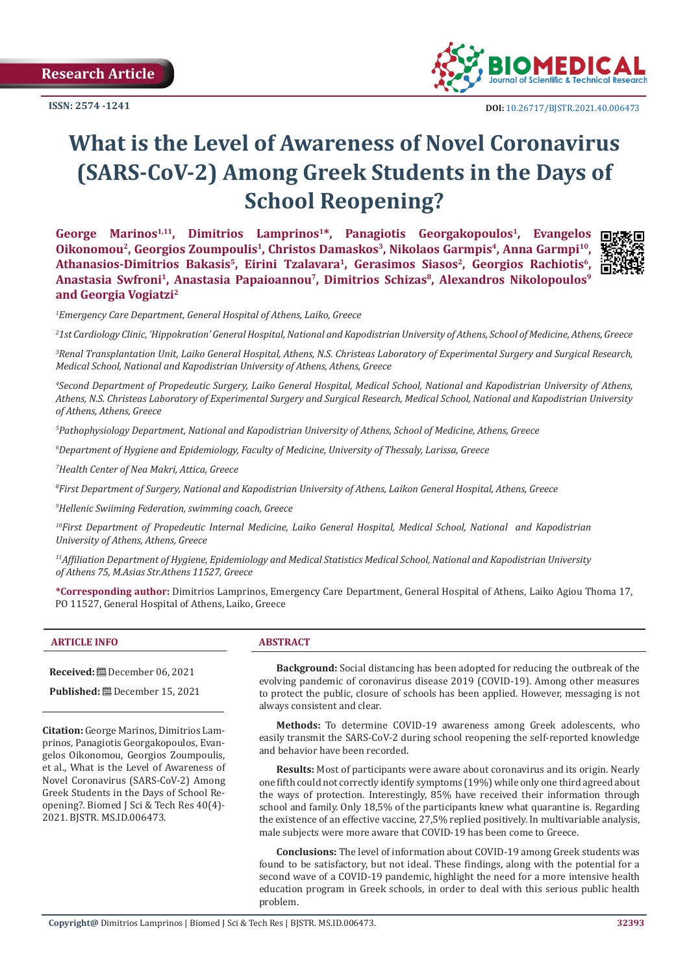**Research Article** 



同的

# **What is the Level of Awareness of Novel Coronavirus (SARS-CoV-2) Among Greek Students in the Days of School Reopening?**

George Marinos<sup>1,11</sup>, Dimitrios Lamprinos<sup>1\*</sup>, Panagiotis Georgakopoulos<sup>1</sup>, Evangelos **Oikonomou2, Georgios Zoumpoulis1, Christos Damaskos3, Nikolaos Garmpis4, Anna Garmpi10,**  Athanasios-Dimitrios Bakasis<sup>5</sup>, Eirini Tzalavara<sup>1</sup>, Gerasimos Siasos<sup>2</sup>, Georgios Rachiotis<sup>6</sup>, Anastasia Swfroni<sup>1</sup>, Anastasia Papaioannou<sup>7</sup>, Dimitrios Schizas<sup>8</sup>, Alexandros Nikolopoulos<sup>9</sup> **and Georgia Vogiatzi2**



*2 1st Cardiology Clinic, 'Hippokration' General Hospital, National and Kapodistrian University of Athens, School of Medicine, Athens, Greece*

*3 Renal Transplantation Unit, Laiko General Hospital, Athens, N.S. Christeas Laboratory of Experimental Surgery and Surgical Research, Medical School, National and Kapodistrian University of Athens, Athens, Greece*

*4 Second Department of Propedeutic Surgery, Laiko General Hospital, Medical School, National and Kapodistrian University of Athens, Athens, N.S. Christeas Laboratory of Experimental Surgery and Surgical Research, Medical School, National and Kapodistrian University of Athens, Athens, Greece*

*5 Pathophysiology Department, National and Kapodistrian University of Athens, School of Medicine, Athens, Greece*

*6 Department of Hygiene and Epidemiology, Faculty of Medicine, University of Thessaly, Larissa, Greece*

*7 Health Center of Nea Makri, Attica, Greece*

*8 First Department of Surgery, National and Kapodistrian University of Athens, Laikon General Hospital, Athens, Greece*

*9 Hellenic Swiiming Federation, swimming coach, Greece*

*10First Department of Propedeutic Internal Medicine, Laiko General Hospital, Medical School, National and Kapodistrian University of Athens, Athens, Greece*

*<sup>11</sup>Affiliation Department of Hygiene, Epidemiology and Medical Statistics Medical School, National and Kapodistrian University of Athens 75, M.Asias Str.Athens 11527, Greece*

**\*Corresponding author:** Dimitrios Lamprinos, Emergency Care Department, General Hospital of Athens, Laiko Agiou Thoma 17, PO 11527, General Hospital of Athens, Laiko, Greece

#### **ARTICLE INFO ABSTRACT**

**Received:** December 06, 2021

**Published:** December 15, 2021

**Citation:** George Marinos, Dimitrios Lamprinos, Panagiotis Georgakopoulos, Evangelos Oikonomou, Georgios Zoumpoulis, et al., What is the Level of Awareness of Novel Coronavirus (SARS-CoV-2) Among Greek Students in the Days of School Reopening?. Biomed J Sci & Tech Res 40(4)- 2021. BJSTR. MS.ID.006473.

**Background:** Social distancing has been adopted for reducing the outbreak of the evolving pandemic of coronavirus disease 2019 (COVID-19). Among other measures to protect the public, closure of schools has been applied. However, messaging is not always consistent and clear.

**Methods:** To determine COVID-19 awareness among Greek adolescents, who easily transmit the SARS-CoV-2 during school reopening the self-reported knowledge and behavior have been recorded.

**Results:** Most of participants were aware about coronavirus and its origin. Nearly one fifth could not correctly identify symptoms (19%) while only one third agreed about the ways of protection. Interestingly, 85% have received their information through school and family. Only 18,5% of the participants knew what quarantine is. Regarding the existence of an effective vaccine, 27,5% replied positively. In multivariable analysis, male subjects were more aware that COVID-19 has been come to Greece.

**Conclusions:** The level of information about COVID-19 among Greek students was found to be satisfactory, but not ideal. These findings, along with the potential for a second wave of a COVID-19 pandemic, highlight the need for a more intensive health education program in Greek schools, in order to deal with this serious public health problem.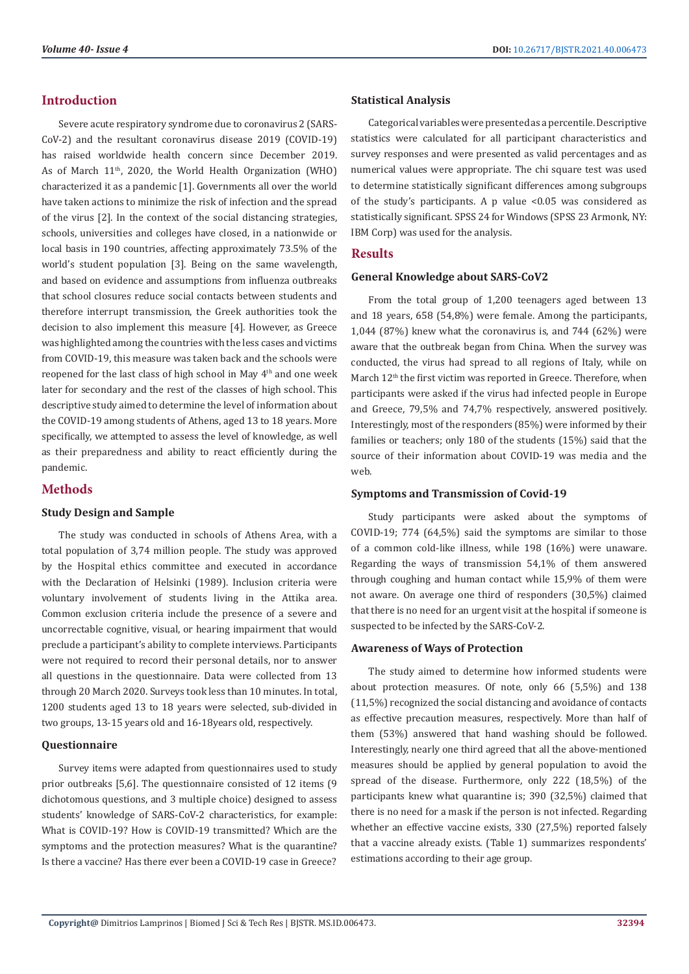# **Introduction**

Severe acute respiratory syndrome due to coronavirus 2 (SARS-CoV-2) and the resultant coronavirus disease 2019 (COVID-19) has raised worldwide health concern since December 2019. As of March 11th, 2020, the World Health Organization (WHO) characterized it as a pandemic [1]. Governments all over the world have taken actions to minimize the risk of infection and the spread of the virus [2]. In the context of the social distancing strategies, schools, universities and colleges have closed, in a nationwide or local basis in 190 countries, affecting approximately 73.5% of the world's student population [3]. Being on the same wavelength, and based on evidence and assumptions from influenza outbreaks that school closures reduce social contacts between students and therefore interrupt transmission, the Greek authorities took the decision to also implement this measure [4]. However, as Greece was highlighted among the countries with the less cases and victims from COVID-19, this measure was taken back and the schools were reopened for the last class of high school in May 4th and one week later for secondary and the rest of the classes of high school. This descriptive study aimed to determine the level of information about the COVID-19 among students of Athens, aged 13 to 18 years. More specifically, we attempted to assess the level of knowledge, as well as their preparedness and ability to react efficiently during the pandemic.

## **Methods**

#### **Study Design and Sample**

The study was conducted in schools of Athens Area, with a total population of 3,74 million people. The study was approved by the Hospital ethics committee and executed in accordance with the Declaration of Helsinki (1989). Inclusion criteria were voluntary involvement of students living in the Attika area. Common exclusion criteria include the presence of a severe and uncorrectable cognitive, visual, or hearing impairment that would preclude a participant's ability to complete interviews. Participants were not required to record their personal details, nor to answer all questions in the questionnaire. Data were collected from 13 through 20 March 2020. Surveys took less than 10 minutes. In total, 1200 students aged 13 to 18 years were selected, sub-divided in two groups, 13-15 years old and 16-18years old, respectively.

#### **Questionnaire**

Survey items were adapted from questionnaires used to study prior outbreaks [5,6]. The questionnaire consisted of 12 items (9 dichotomous questions, and 3 multiple choice) designed to assess students' knowledge of SARS-CoV-2 characteristics, for example: What is COVID-19? How is COVID-19 transmitted? Which are the symptoms and the protection measures? What is the quarantine? Is there a vaccine? Has there ever been a COVID-19 case in Greece?

#### **Statistical Analysis**

Categorical variables were presented as a percentile. Descriptive statistics were calculated for all participant characteristics and survey responses and were presented as valid percentages and as numerical values were appropriate. The chi square test was used to determine statistically significant differences among subgroups of the study's participants. A p value <0.05 was considered as statistically significant. SPSS 24 for Windows (SPSS 23 Armonk, NY: IBM Corp) was used for the analysis.

#### **Results**

#### **General Knowledge about SARS-CoV2**

From the total group of 1,200 teenagers aged between 13 and 18 years, 658 (54,8%) were female. Among the participants, 1,044 (87%) knew what the coronavirus is, and 744 (62%) were aware that the outbreak began from China. When the survey was conducted, the virus had spread to all regions of Italy, while on March 12<sup>th</sup> the first victim was reported in Greece. Therefore, when participants were asked if the virus had infected people in Europe and Greece, 79,5% and 74,7% respectively, answered positively. Interestingly, most of the responders (85%) were informed by their families or teachers; only 180 of the students (15%) said that the source of their information about COVID-19 was media and the web.

#### **Symptoms and Transmission of Covid-19**

Study participants were asked about the symptoms of COVID-19; 774 (64,5%) said the symptoms are similar to those of a common cold-like illness, while 198 (16%) were unaware. Regarding the ways of transmission 54,1% of them answered through coughing and human contact while 15,9% of them were not aware. On average one third of responders (30,5%) claimed that there is no need for an urgent visit at the hospital if someone is suspected to be infected by the SARS-CoV-2.

#### **Awareness of Ways of Protection**

The study aimed to determine how informed students were about protection measures. Of note, only 66 (5,5%) and 138 (11,5%) recognized the social distancing and avoidance of contacts as effective precaution measures, respectively. More than half of them (53%) answered that hand washing should be followed. Interestingly, nearly one third agreed that all the above-mentioned measures should be applied by general population to avoid the spread of the disease. Furthermore, only 222 (18,5%) of the participants knew what quarantine is; 390 (32,5%) claimed that there is no need for a mask if the person is not infected. Regarding whether an effective vaccine exists, 330 (27,5%) reported falsely that a vaccine already exists. (Table 1) summarizes respondents' estimations according to their age group.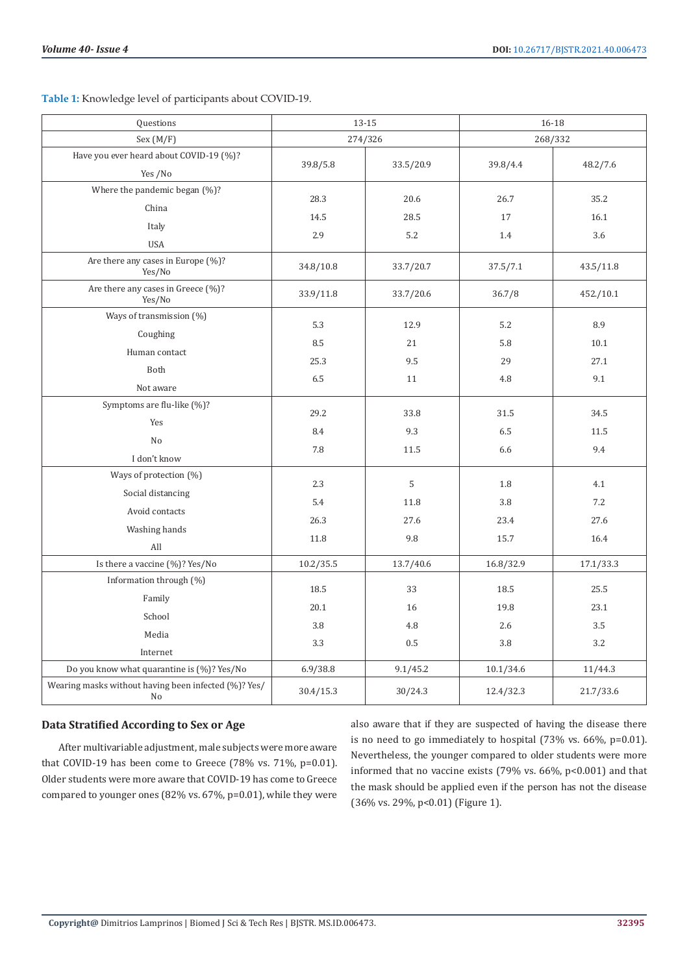**Table 1:** Knowledge level of participants about COVID-19.

| Questions                                                  | 13-15     |           | 16-18     |           |
|------------------------------------------------------------|-----------|-----------|-----------|-----------|
| Sex (M/F)                                                  | 274/326   |           | 268/332   |           |
| Have you ever heard about COVID-19 (%)?                    | 39.8/5.8  | 33.5/20.9 | 39.8/4.4  | 48.2/7.6  |
| Yes /No                                                    |           |           |           |           |
| Where the pandemic began (%)?                              | 28.3      | 20.6      | 26.7      | 35.2      |
| China                                                      |           |           |           |           |
| Italy                                                      | 14.5      | 28.5      | 17        | 16.1      |
| <b>USA</b>                                                 | 2.9       | 5.2       | 1.4       | 3.6       |
| Are there any cases in Europe (%)?<br>Yes/No               | 34.8/10.8 | 33.7/20.7 | 37.5/7.1  | 43.5/11.8 |
| Are there any cases in Greece (%)?<br>Yes/No               | 33.9/11.8 | 33.7/20.6 | 36.7/8    | 452./10.1 |
| Ways of transmission (%)                                   | 5.3       | 12.9      | 5.2       | 8.9       |
| Coughing                                                   | 8.5       | 21        | 5.8       | 10.1      |
| Human contact                                              | 25.3      | 9.5       | 29        | 27.1      |
| Both                                                       | 6.5       | 11        | 4.8       | 9.1       |
| Not aware                                                  |           |           |           |           |
| Symptoms are flu-like (%)?                                 | 29.2      | 33.8      | 31.5      | 34.5      |
| Yes                                                        | 8.4       | 9.3       | 6.5       | 11.5      |
| No                                                         | 7.8       | 11.5      | 6.6       | 9.4       |
| I don't know                                               |           |           |           |           |
| Ways of protection (%)                                     | 2.3       | 5         | 1.8       | 4.1       |
| Social distancing                                          | 5.4       | 11.8      | 3.8       | 7.2       |
| Avoid contacts                                             | 26.3      | 27.6      | 23.4      | 27.6      |
| Washing hands                                              | 11.8      | 9.8       | 15.7      | 16.4      |
| All                                                        |           |           |           |           |
| Is there a vaccine (%)? Yes/No                             | 10.2/35.5 | 13.7/40.6 | 16.8/32.9 | 17.1/33.3 |
| Information through (%)                                    | 18.5      | 33        | 18.5      | 25.5      |
| Family                                                     | 20.1      | 16        | 19.8      | 23.1      |
| School                                                     | 3.8       | 4.8       | 2.6       | 3.5       |
| Media                                                      | 3.3       | 0.5       | 3.8       | 3.2       |
| Internet                                                   |           |           |           |           |
| Do you know what quarantine is (%)? Yes/No                 | 6.9/38.8  | 9.1/45.2  | 10.1/34.6 | 11/44.3   |
| Wearing masks without having been infected (%)? Yes/<br>No | 30.4/15.3 | 30/24.3   | 12.4/32.3 | 21.7/33.6 |

## **Data Stratified According to Sex or Age**

After multivariable adjustment, male subjects were more aware that COVID-19 has been come to Greece (78% vs. 71%, p=0.01). Older students were more aware that COVID-19 has come to Greece compared to younger ones (82% vs. 67%, p=0.01), while they were

also aware that if they are suspected of having the disease there is no need to go immediately to hospital (73% vs. 66%, p=0.01). Nevertheless, the younger compared to older students were more informed that no vaccine exists (79% vs.  $66\%$ ,  $p<0.001$ ) and that the mask should be applied even if the person has not the disease (36% vs. 29%, p<0.01) (Figure 1).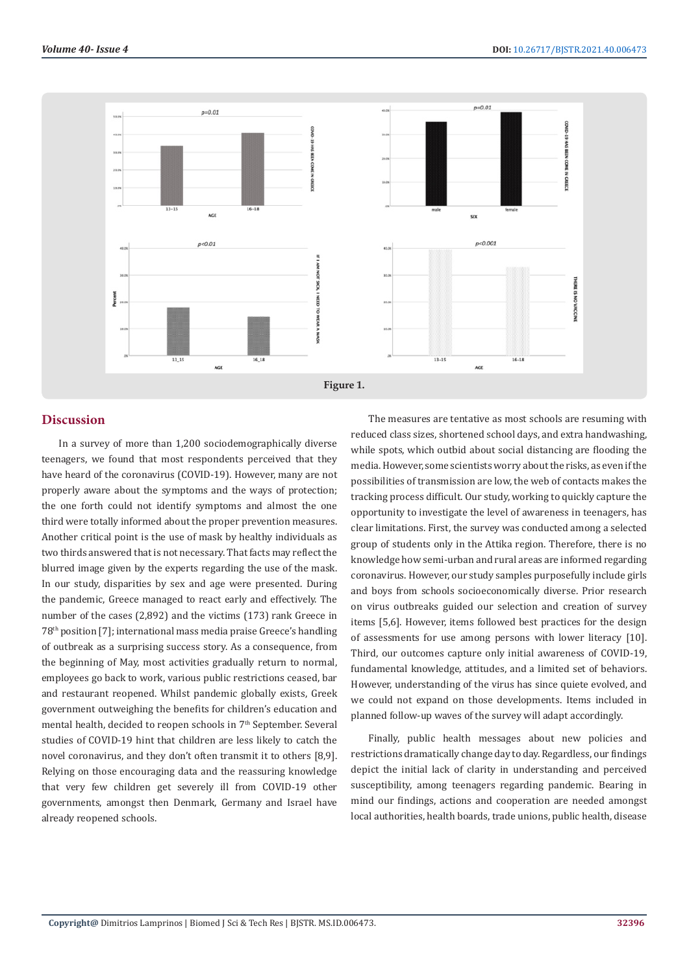

#### **Discussion**

In a survey of more than 1,200 sociodemographically diverse teenagers, we found that most respondents perceived that they have heard of the coronavirus (COVID-19). However, many are not properly aware about the symptoms and the ways of protection; the one forth could not identify symptoms and almost the one third were totally informed about the proper prevention measures. Another critical point is the use of mask by healthy individuals as two thirds answered that is not necessary. That facts may reflect the blurred image given by the experts regarding the use of the mask. In our study, disparities by sex and age were presented. During the pandemic, Greece managed to react early and effectively. The number of the cases (2,892) and the victims (173) rank Greece in 78th position [7]; international mass media praise Greece's handling of outbreak as a surprising success story. As a consequence, from the beginning of May, most activities gradually return to normal, employees go back to work, various public restrictions ceased, bar and restaurant reopened. Whilst pandemic globally exists, Greek government outweighing the benefits for children's education and mental health, decided to reopen schools in 7<sup>th</sup> September. Several studies of COVID-19 hint that children are less likely to catch the novel coronavirus, and they don't often transmit it to others [8,9]. Relying on those encouraging data and the reassuring knowledge that very few children get severely ill from COVID-19 other governments, amongst then Denmark, Germany and Israel have already reopened schools.

The measures are tentative as most schools are resuming with reduced class sizes, shortened school days, and extra handwashing, while spots, which outbid about social distancing are flooding the media. However, some scientists worry about the risks, as even if the possibilities of transmission are low, the web of contacts makes the tracking process difficult. Our study, working to quickly capture the opportunity to investigate the level of awareness in teenagers, has clear limitations. First, the survey was conducted among a selected group of students only in the Attika region. Therefore, there is no knowledge how semi-urban and rural areas are informed regarding coronavirus. However, our study samples purposefully include girls and boys from schools socioeconomically diverse. Prior research on virus outbreaks guided our selection and creation of survey items [5,6]. However, items followed best practices for the design of assessments for use among persons with lower literacy [10]. Third, our outcomes capture only initial awareness of COVID-19, fundamental knowledge, attitudes, and a limited set of behaviors. However, understanding of the virus has since quiete evolved, and we could not expand on those developments. Items included in planned follow-up waves of the survey will adapt accordingly.

Finally, public health messages about new policies and restrictions dramatically change day to day. Regardless, our findings depict the initial lack of clarity in understanding and perceived susceptibility, among teenagers regarding pandemic. Bearing in mind our findings, actions and cooperation are needed amongst local authorities, health boards, trade unions, public health, disease